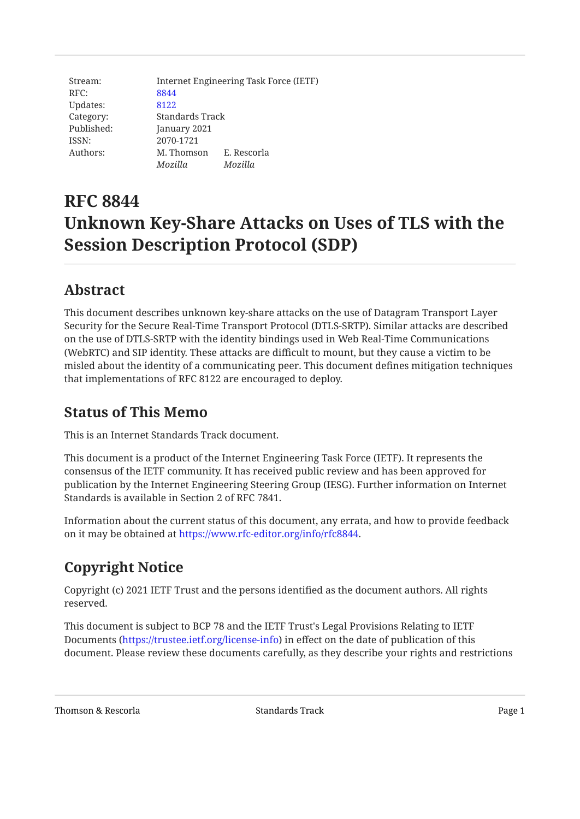Stream: Internet Engineering Task Force (IETF) RFC: [8844](https://www.rfc-editor.org/rfc/rfc8844) Updates: [8122](https://www.rfc-editor.org/rfc/rfc8122) Category: Standards Track Published: January 2021 ISSN: 2070-1721 Authors: M. Thomson E. Rescorla *Mozilla Mozilla*

# **RFC 8844 Unknown Key-Share Attacks on Uses of TLS with the Session Description Protocol (SDP)**

## <span id="page-0-0"></span>**[Abstract](#page-0-0)**

This document describes unknown key-share attacks on the use of Datagram Transport Layer Security for the Secure Real-Time Transport Protocol (DTLS-SRTP). Similar attacks are described on the use of DTLS-SRTP with the identity bindings used in Web Real-Time Communications (WebRTC) and SIP identity. These attacks are difficult to mount, but they cause a victim to be misled about the identity of a communicating peer. This document defines mitigation techniques that implementations of RFC 8122 are encouraged to deploy.

## <span id="page-0-1"></span>**[Status of This Memo](#page-0-1)**

This is an Internet Standards Track document.

This document is a product of the Internet Engineering Task Force (IETF). It represents the consensus of the IETF community. It has received public review and has been approved for publication by the Internet Engineering Steering Group (IESG). Further information on Internet Standards is available in Section 2 of RFC 7841.

<span id="page-0-2"></span>Information about the current status of this document, any errata, and how to provide feedback on it may be obtained at <https://www.rfc-editor.org/info/rfc8844>.

## **[Copyright Notice](#page-0-2)**

Copyright (c) 2021 IETF Trust and the persons identified as the document authors. All rights reserved.

This document is subject to BCP 78 and the IETF Trust's Legal Provisions Relating to IETF Documents (<https://trustee.ietf.org/license-info>) in effect on the date of publication of this document. Please review these documents carefully, as they describe your rights and restrictions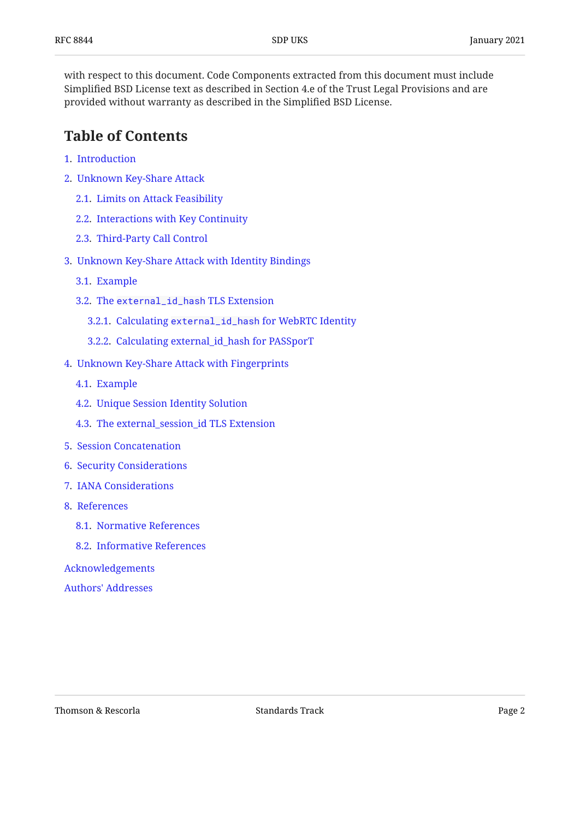with respect to this document. Code Components extracted from this document must include Simplified BSD License text as described in Section 4.e of the Trust Legal Provisions and are provided without warranty as described in the Simplified BSD License.

## <span id="page-1-0"></span>**[Table of Contents](#page-1-0)**

- [1.](#page-2-0) [Introduction](#page-2-0)
- [2.](#page-3-0) [Unknown Key-Share Attack](#page-3-0)
	- [2.1.](#page-3-1) [Limits on Attack Feasibility](#page-3-1)
	- [2.2.](#page-4-0) [Interactions with Key Continuity](#page-4-0)
	- [2.3.](#page-4-1) [Third-Party Call Control](#page-4-1)
- [3.](#page-5-0) [Unknown Key-Share Attack with Identity Bindings](#page-5-0)
	- [3.1.](#page-6-0) [Example](#page-6-0)
	- [3.2.](#page-6-1) The [external\\_id\\_hash](#page-6-1) TLS Extension
		- [3.2.1.](#page-7-0) Calculating [external\\_id\\_hash](#page-7-0) [for WebRTC Identity](#page-7-0)
		- [3.2.2.](#page-8-0) [Calculating external\\_id\\_hash for PASSporT](#page-8-0)
- [4.](#page-8-1) [Unknown Key-Share Attack with Fingerprints](#page-8-1)
	- [4.1.](#page-9-0) [Example](#page-9-0)
	- [4.2.](#page-10-0) [Unique Session Identity Solution](#page-10-0)
	- [4.3.](#page-11-0) [The external\\_session\\_id TLS Extension](#page-11-0)
- [5.](#page-12-0) [Session Concatenation](#page-12-0)
- [6.](#page-13-0) [Security Considerations](#page-13-0)
- [7.](#page-13-1) [IANA Considerations](#page-13-1)
- [8.](#page-13-2) [References](#page-13-2)
	- [8.1.](#page-13-3) [Normative References](#page-13-3)
	- [8.2.](#page-15-0) [Informative References](#page-15-0)
- [Acknowledgements](#page-16-0)
- [Authors' Addresses](#page-16-1)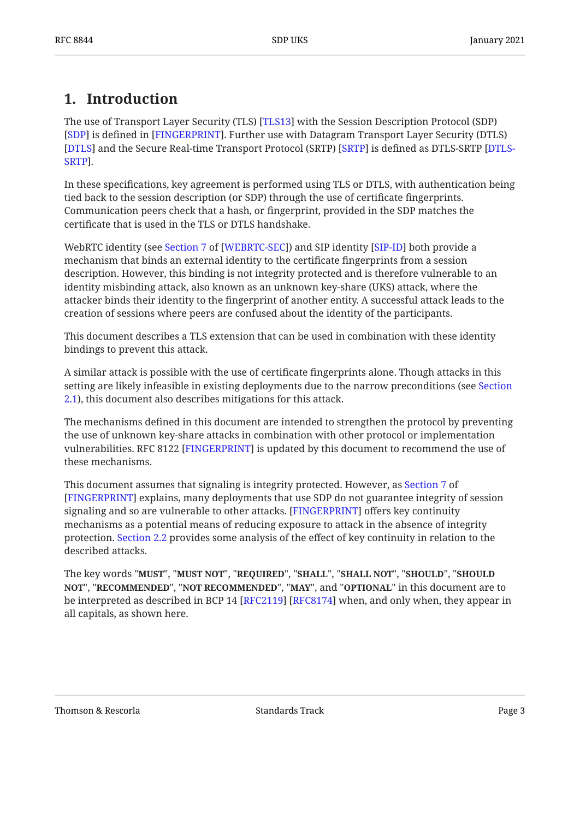## <span id="page-2-0"></span>**[1. Introduction](#page-2-0)**

The use of Transport Layer Security (TLS) [[TLS13\]](#page-14-0) with the Session Description Protocol (SDP) [[SDP\]](#page-14-1) is defined in [FINGERPRINT]. Further use with Datagram Transport Layer Security (DTLS) [[DTLS\]](#page-13-4) and the Secure Real-time Transport Protocol (SRTP) [SRTP] is defined as DTLS-SRTP [\[DTLS-](#page-14-4). [SRTP\]](#page-14-4)

In these specifications, key agreement is performed using TLS or DTLS, with authentication being tied back to the session description (or SDP) through the use of certificate fingerprints. Communication peers check that a hash, or fingerprint, provided in the SDP matches the certificate that is used in the TLS or DTLS handshake.

WebRTCidentity (see Section 7 of [WEBRTC-SEC]) and SIP identity [SIP-ID] both provide a mechanism that binds an external identity to the certificate fingerprints from a session description. However, this binding is not integrity protected and is therefore vulnerable to an identity misbinding attack, also known as an unknown key-share (UKS) attack, where the attacker binds their identity to the fingerprint of another entity. A successful attack leads to the creation of sessions where peers are confused about the identity of the participants.

This document describes a TLS extension that can be used in combination with these identity bindings to prevent this attack.

A similar attack is possible with the use of certificate fingerprints alone. Though attacks in this setting are likely infeasible in existing deployments due to the narrow preconditions (see [Section](#page-3-1) [2.1\)](#page-3-1), this document also describes mitigations for this attack.

The mechanisms defined in this document are intended to strengthen the protocol by preventing the use of unknown key-share attacks in combination with other protocol or implementation vulnerabilities. RFC 8122 [\[FINGERPRINT](#page-14-2)] is updated by this document to recommend the use of these mechanisms.

This document assumes that signaling is integrity protected. However, as [Section 7](https://www.rfc-editor.org/rfc/rfc8122#section-7) of [[FINGERPRINT\]](#page-14-2) explains, many deployments that use SDP do not guarantee integrity of session signaling and so are vulnerable to other attacks. [FINGERPRINT] offers key continuity mechanisms as a potential means of reducing exposure to attack in the absence of integrity protection. [Section 2.2](#page-4-0) provides some analysis of the effect of key continuity in relation to the described attacks.

The key words "MUST", "MUST NOT", "REQUIRED", "SHALL", "SHALL NOT", "SHOULD", "SHOULD <code>NOT",</code> "<code>RECOMMENDED", "NOT RECOMMENDED", "MAY", and "OPTIONAL" in this document are to</code> be interpreted as described in BCP 14 [RFC2119] [RFC8174] when, and only when, they appear in all capitals, as shown here.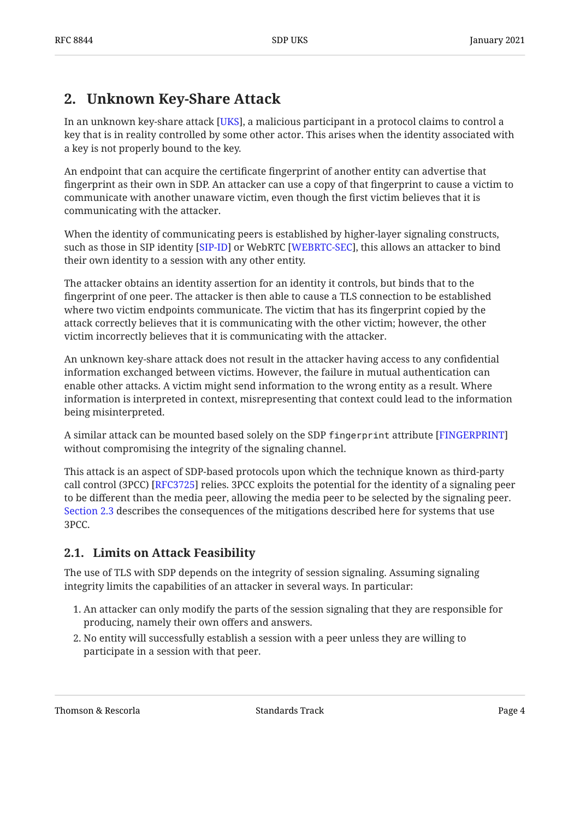## <span id="page-3-0"></span>**[2. Unknown Key-Share Attack](#page-3-0)**

In an unknown key-share attack [\[UKS\]](#page-15-1), a malicious participant in a protocol claims to control a key that is in reality controlled by some other actor. This arises when the identity associated with a key is not properly bound to the key.

An endpoint that can acquire the certificate fingerprint of another entity can advertise that fingerprint as their own in SDP. An attacker can use a copy of that fingerprint to cause a victim to communicate with another unaware victim, even though the first victim believes that it is communicating with the attacker.

When the identity of communicating peers is established by higher-layer signaling constructs, such as those in SIP identity [SIP-ID] or WebRTC [WEBRTC-SEC], this allows an attacker to bind their own identity to a session with any other entity.

The attacker obtains an identity assertion for an identity it controls, but binds that to the fingerprint of one peer. The attacker is then able to cause a TLS connection to be established where two victim endpoints communicate. The victim that has its fingerprint copied by the attack correctly believes that it is communicating with the other victim; however, the other victim incorrectly believes that it is communicating with the attacker.

An unknown key-share attack does not result in the attacker having access to any confidential information exchanged between victims. However, the failure in mutual authentication can enable other attacks. A victim might send information to the wrong entity as a result. Where information is interpreted in context, misrepresenting that context could lead to the information being misinterpreted.

A similar attack can be mounted based solely on the SDP fingerprint attribute [[FINGERPRINT\]](#page-14-2) without compromising the integrity of the signaling channel.

This attack is an aspect of SDP-based protocols upon which the technique known as third-party call control (3PCC) [RFC3725] relies. 3PCC exploits the potential for the identity of a signaling peer to be different than the media peer, allowing the media peer to be selected by the signaling peer. [Section 2.3](#page-4-1) describes the consequences of the mitigations described here for systems that use 3PCC.

### <span id="page-3-1"></span>**[2.1. Limits on Attack Feasibility](#page-3-1)**

The use of TLS with SDP depends on the integrity of session signaling. Assuming signaling integrity limits the capabilities of an attacker in several ways. In particular:

- An attacker can only modify the parts of the session signaling that they are responsible for 1. producing, namely their own offers and answers.
- 2. No entity will successfully establish a session with a peer unless they are willing to participate in a session with that peer.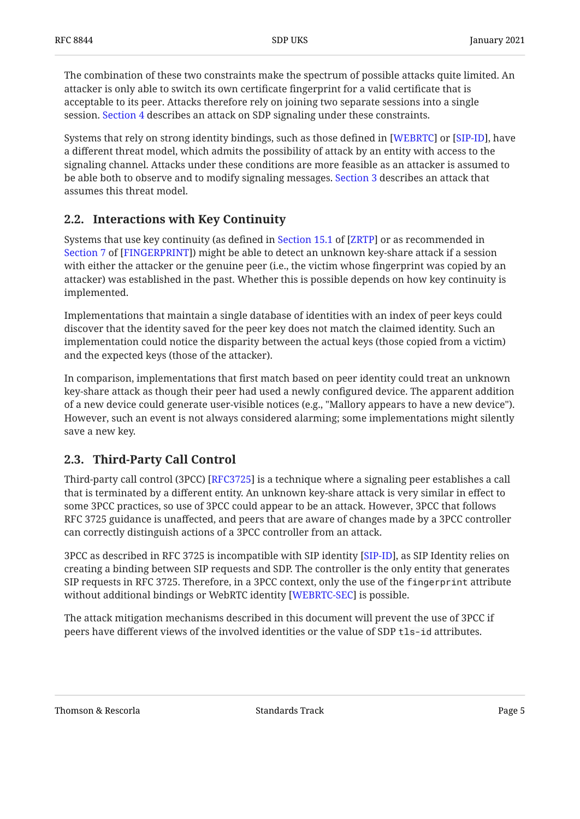The combination of these two constraints make the spectrum of possible attacks quite limited. An attacker is only able to switch its own certificate fingerprint for a valid certificate that is acceptable to its peer. Attacks therefore rely on joining two separate sessions into a single session. [Section 4](#page-8-1) describes an attack on SDP signaling under these constraints.

Systems that rely on strong identity bindings, such as those defined in [WEBRTC] or [SIP-ID], have a different threat model, which admits the possibility of attack by an entity with access to the signaling channel. Attacks under these conditions are more feasible as an attacker is assumed to be able both to observe and to modify signaling messages. [Section 3](#page-5-0) describes an attack that assumes this threat model.

### <span id="page-4-0"></span>**[2.2. Interactions with Key Continuity](#page-4-0)**

Systemsthat use key continuity (as defined in Section 15.1 of [ZRTP] or as recommended in [Section 7](https://www.rfc-editor.org/rfc/rfc8122#section-7) of [\[FINGERPRINT](#page-14-2)]) might be able to detect an unknown key-share attack if a session with either the attacker or the genuine peer (i.e., the victim whose fingerprint was copied by an attacker) was established in the past. Whether this is possible depends on how key continuity is implemented.

Implementations that maintain a single database of identities with an index of peer keys could discover that the identity saved for the peer key does not match the claimed identity. Such an implementation could notice the disparity between the actual keys (those copied from a victim) and the expected keys (those of the attacker).

In comparison, implementations that first match based on peer identity could treat an unknown key-share attack as though their peer had used a newly configured device. The apparent addition of a new device could generate user-visible notices (e.g., "Mallory appears to have a new device"). However, such an event is not always considered alarming; some implementations might silently save a new key.

### <span id="page-4-1"></span>**[2.3. Third-Party Call Control](#page-4-1)**

Third-party call control (3PCC) [RFC3725] is a technique where a signaling peer establishes a call that is terminated by a different entity. An unknown key-share attack is very similar in effect to some 3PCC practices, so use of 3PCC could appear to be an attack. However, 3PCC that follows RFC 3725 guidance is unaffected, and peers that are aware of changes made by a 3PCC controller can correctly distinguish actions of a 3PCC controller from an attack.

3PCC as described in RFC 3725 is incompatible with SIP identity [SIP-ID], as SIP Identity relies on creating a binding between SIP requests and SDP. The controller is the only entity that generates SIP requests in RFC 3725. Therefore, in a 3PCC context, only the use of the fingerprint attribute without additional bindings or WebRTC identity [WEBRTC-SEC] is possible.

The attack mitigation mechanisms described in this document will prevent the use of 3PCC if peers have different views of the involved identities or the value of SDP tls-id attributes.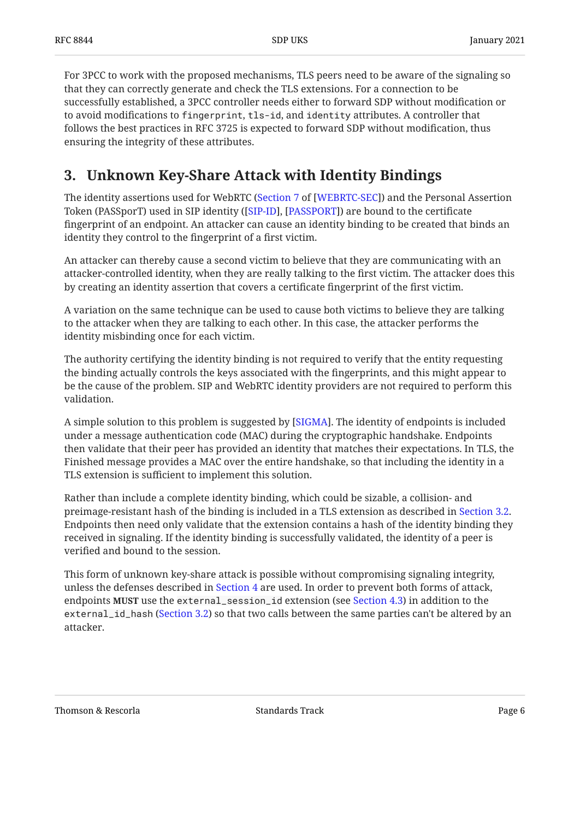For 3PCC to work with the proposed mechanisms, TLS peers need to be aware of the signaling so that they can correctly generate and check the TLS extensions. For a connection to be successfully established, a 3PCC controller needs either to forward SDP without modification or to avoid modifications to fingerprint, tls-id, and identity attributes. A controller that follows the best practices in RFC 3725 is expected to forward SDP without modification, thus ensuring the integrity of these attributes.

## <span id="page-5-0"></span>**[3. Unknown Key-Share Attack with Identity Bindings](#page-5-0)**

The identity assertions used for WebRTC ([Section 7](https://www.rfc-editor.org/rfc/rfc8827#section-7) of [\[WEBRTC-SEC\]](#page-14-5)) and the Personal Assertion Token (PASSporT) used in SIP identity ([SIP-ID], [PASSPORT]) are bound to the certificate fingerprint of an endpoint. An attacker can cause an identity binding to be created that binds an identity they control to the fingerprint of a first victim.

An attacker can thereby cause a second victim to believe that they are communicating with an attacker-controlled identity, when they are really talking to the first victim. The attacker does this by creating an identity assertion that covers a certificate fingerprint of the first victim.

A variation on the same technique can be used to cause both victims to believe they are talking to the attacker when they are talking to each other. In this case, the attacker performs the identity misbinding once for each victim.

The authority certifying the identity binding is not required to verify that the entity requesting the binding actually controls the keys associated with the fingerprints, and this might appear to be the cause of the problem. SIP and WebRTC identity providers are not required to perform this validation.

A simple solution to this problem is suggested by [[SIGMA\]](#page-15-5). The identity of endpoints is included under a message authentication code (MAC) during the cryptographic handshake. Endpoints then validate that their peer has provided an identity that matches their expectations. In TLS, the Finished message provides a MAC over the entire handshake, so that including the identity in a TLS extension is sufficient to implement this solution.

Rather than include a complete identity binding, which could be sizable, a collision- and preimage-resistant hash of the binding is included in a TLS extension as described in [Section 3.2.](#page-6-1) Endpoints then need only validate that the extension contains a hash of the identity binding they received in signaling. If the identity binding is successfully validated, the identity of a peer is verified and bound to the session.

This form of unknown key-share attack is possible without compromising signaling integrity, unless the defenses described in [Section 4](#page-8-1) are used. In order to prevent both forms of attack, endpoints MUST use the external\_session\_id extension (see [Section 4.3\)](#page-11-0) in addition to the external\_id\_hash [\(Section 3.2](#page-6-1)) so that two calls between the same parties can't be altered by an attacker.

Thomson & Rescorla **Standards Track** Page 6 and Standards Track Page 6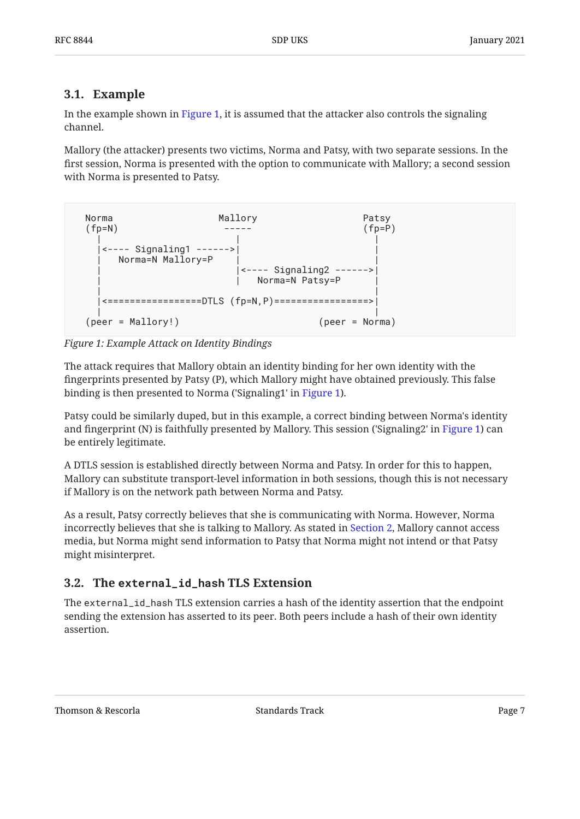### <span id="page-6-0"></span>**[3.1. Example](#page-6-0)**

In the example shown in [Figure 1](#page-6-2), it is assumed that the attacker also controls the signaling channel.

Mallory (the attacker) presents two victims, Norma and Patsy, with two separate sessions. In the first session, Norma is presented with the option to communicate with Mallory; a second session with Norma is presented to Patsy.

<span id="page-6-2"></span>

*[Figure 1: Example Attack on Identity Bindings](#page-6-2)* 

The attack requires that Mallory obtain an identity binding for her own identity with the fingerprints presented by Patsy (P), which Mallory might have obtained previously. This false binding is then presented to Norma ('Signaling1' in [Figure 1](#page-6-2)).

Patsy could be similarly duped, but in this example, a correct binding between Norma's identity and fingerprint (N) is faithfully presented by Mallory. This session ('Signaling2' in [Figure 1](#page-6-2)) can be entirely legitimate.

A DTLS session is established directly between Norma and Patsy. In order for this to happen, Mallory can substitute transport-level information in both sessions, though this is not necessary if Mallory is on the network path between Norma and Patsy.

As a result, Patsy correctly believes that she is communicating with Norma. However, Norma incorrectly believes that she is talking to Mallory. As stated in [Section 2,](#page-3-0) Mallory cannot access media, but Norma might send information to Patsy that Norma might not intend or that Patsy might misinterpret.

### <span id="page-6-1"></span>**[3.2. T](#page-6-1)he [external\\_id\\_hash](#page-6-1) TLS Extension**

The external\_id\_hash TLS extension carries a hash of the identity assertion that the endpoint sending the extension has asserted to its peer. Both peers include a hash of their own identity assertion.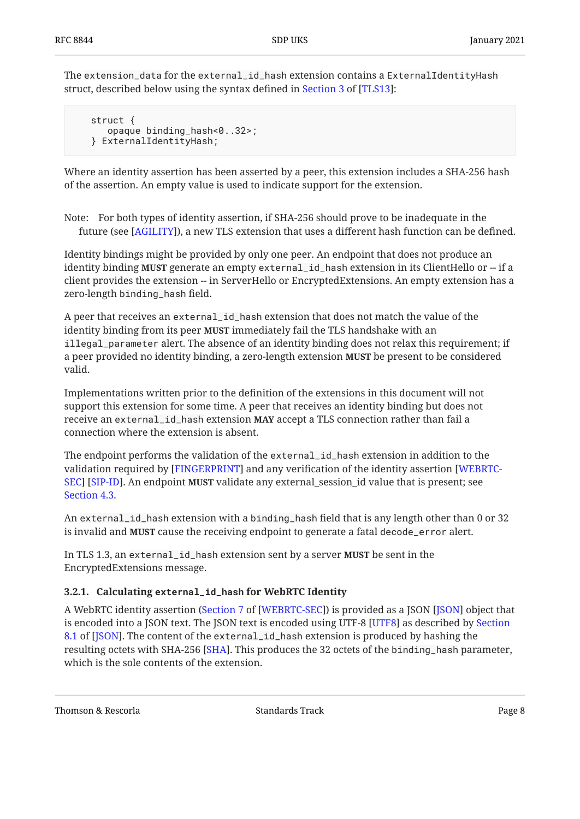The extension\_data for the external\_id\_hash extension contains a ExternalIdentityHash struct, described below using the syntax defined in Section 3 of [TLS13]:

 struct { opaque binding\_hash<0..32>; } ExternalIdentityHash;

Where an identity assertion has been asserted by a peer, this extension includes a SHA-256 hash of the assertion. An empty value is used to indicate support for the extension.

Note: For both types of identity assertion, if SHA-256 should prove to be inadequate in the future (see [AGILITY]), a new TLS extension that uses a different hash function can be defined.

Identity bindings might be provided by only one peer. An endpoint that does not produce an identity binding **MUST** generate an empty external\_id\_hash extension in its ClientHello or -- if a client provides the extension -- in ServerHello or EncryptedExtensions. An empty extension has a zero-length binding\_hash field.

A peer that receives an external\_id\_hash extension that does not match the value of the identity binding from its peer **MUST** immediately fail the TLS handshake with an  $\,$ illegal\_parameter alert. The absence of an identity binding does not relax this requirement; if a peer provided no identity binding, a zero-length extension **MUST** be present to be considered valid.

Implementations written prior to the definition of the extensions in this document will not support this extension for some time. A peer that receives an identity binding but does not receive an external\_id\_hash extension **MAY** accept a TLS connection rather than fail a connection where the extension is absent.

The endpoint performs the validation of the external\_id\_hash extension in addition to the validation required by [FINGERPRINT] and any verification of the identity assertion [[WEBRTC-](#page-14-5)[SEC\]](#page-14-5) [[SIP-ID\]](#page-14-6). An endpoint **MUST** validate any external\_session\_id value that is present; see [Section 4.3.](#page-11-0)

An external\_id\_hash extension with a binding\_hash field that is any length other than 0 or 32 is invalid and **MUST** cause the receiving endpoint to generate a fatal decode\_error alert.

In TLS 1.3, an externa $\sf{l}_\_id\_$ hash extension sent by a server **MUST** be sent in the EncryptedExtensions message.

#### <span id="page-7-0"></span>**[3.2.1.](#page-7-0) Calculating [external\\_id\\_hash](#page-7-0) [for WebRTC Identity](#page-7-0)**

A WebRTC identity assertion ([Section 7](https://www.rfc-editor.org/rfc/rfc8827#section-7) of [\[WEBRTC-SEC\]](#page-14-5)) is provided as a JSON [JSON] object that is encoded into a JSON text. The JSON text is encoded using UTF-8 [\[UTF8\]](#page-14-11) as described by [Section](https://www.rfc-editor.org/rfc/rfc8259#section-8.1) [8.1](https://www.rfc-editor.org/rfc/rfc8259#section-8.1) of [[JSON\]](#page-14-10). The content of the external\_id\_hash extension is produced by hashing the resulting octets with SHA-256 [SHA]. This produces the 32 octets of the binding\_hash parameter, which is the sole contents of the extension.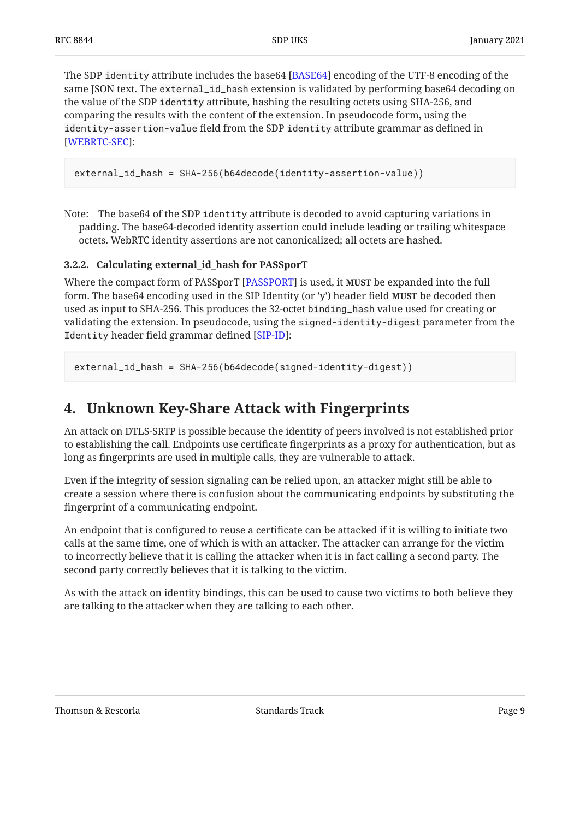The SDP identity attribute includes the base64 [BASE64] encoding of the UTF-8 encoding of the same JSON text. The external\_id\_hash extension is validated by performing base64 decoding on the value of the SDP identity attribute, hashing the resulting octets using SHA-256, and comparing the results with the content of the extension. In pseudocode form, using the identity-assertion-value field from the SDP identity attribute grammar as defined in : [[WEBRTC-SEC\]](#page-14-5)

external\_id\_hash = SHA-256(b64decode(identity-assertion-value))

Note: The base64 of the SDP identity attribute is decoded to avoid capturing variations in padding. The base64-decoded identity assertion could include leading or trailing whitespace octets. WebRTC identity assertions are not canonicalized; all octets are hashed.

#### <span id="page-8-0"></span>**[3.2.2. Calculating external\\_id\\_hash for PASSporT](#page-8-0)**

Where the compact form of PASSporT [PASSPORT] is used, it **MUST** be expanded into the full form. The base64 encoding used in the SIP Identity (or 'y') header field **MUST** be decoded then used as input to SHA-256. This produces the 32-octet binding\_hash value used for creating or validating the extension. In pseudocode, using the signed-identity-digest parameter from the Identity header field grammar defined [SIP-ID]:

<span id="page-8-1"></span>external\_id\_hash = SHA-256(b64decode(signed-identity-digest))

### **[4. Unknown Key-Share Attack with Fingerprints](#page-8-1)**

An attack on DTLS-SRTP is possible because the identity of peers involved is not established prior to establishing the call. Endpoints use certificate fingerprints as a proxy for authentication, but as long as fingerprints are used in multiple calls, they are vulnerable to attack.

Even if the integrity of session signaling can be relied upon, an attacker might still be able to create a session where there is confusion about the communicating endpoints by substituting the fingerprint of a communicating endpoint.

An endpoint that is configured to reuse a certificate can be attacked if it is willing to initiate two calls at the same time, one of which is with an attacker. The attacker can arrange for the victim to incorrectly believe that it is calling the attacker when it is in fact calling a second party. The second party correctly believes that it is talking to the victim.

As with the attack on identity bindings, this can be used to cause two victims to both believe they are talking to the attacker when they are talking to each other.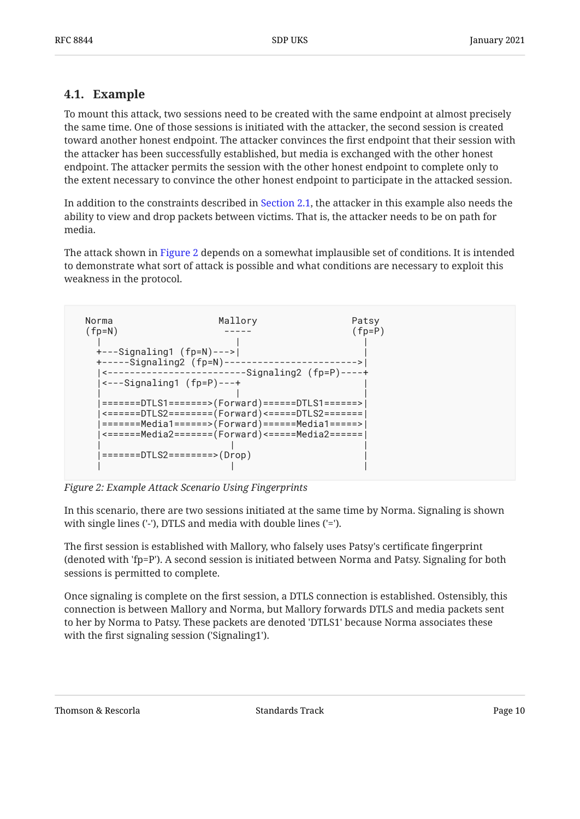### <span id="page-9-0"></span>**[4.1. Example](#page-9-0)**

To mount this attack, two sessions need to be created with the same endpoint at almost precisely the same time. One of those sessions is initiated with the attacker, the second session is created toward another honest endpoint. The attacker convinces the first endpoint that their session with the attacker has been successfully established, but media is exchanged with the other honest endpoint. The attacker permits the session with the other honest endpoint to complete only to the extent necessary to convince the other honest endpoint to participate in the attacked session.

In addition to the constraints described in [Section 2.1,](#page-3-1) the attacker in this example also needs the ability to view and drop packets between victims. That is, the attacker needs to be on path for media.

The attack shown in [Figure 2](#page-9-1) depends on a somewhat implausible set of conditions. It is intended to demonstrate what sort of attack is possible and what conditions are necessary to exploit this weakness in the protocol.

<span id="page-9-1"></span>

| Norma    | Mallory                                                                                                             | Patsy            |  |
|----------|---------------------------------------------------------------------------------------------------------------------|------------------|--|
| $(fp=N)$ |                                                                                                                     | $(fp = P)$       |  |
|          | $+$ ---Signaling1 (fp=N)--->                                                                                        |                  |  |
|          | $+$ -----Signaling2 (fp=N)-----                                                                                     | ---------------> |  |
|          | <--------------------------Signaling2 (fp=P)----+<br>$\left  \left. \left. \left. \right  - - \right. \right $ ---+ |                  |  |
|          |                                                                                                                     |                  |  |
|          | ========DTLS1=======>(Forward)======DTLS1======>                                                                    |                  |  |
|          | <======DTLS2========(Forward)<=====DTLS2=======                                                                     |                  |  |
|          | =======Media1======>(Forward)======Media1=====>                                                                     |                  |  |
|          | <======Media2========(Forward)<=====Media2======                                                                    |                  |  |
|          | =======DTLS2========>(Drop)                                                                                         |                  |  |
|          |                                                                                                                     |                  |  |

*[Figure 2: Example Attack Scenario Using Fingerprints](#page-9-1)* 

In this scenario, there are two sessions initiated at the same time by Norma. Signaling is shown with single lines ('-'), DTLS and media with double lines ('=').

The first session is established with Mallory, who falsely uses Patsy's certificate fingerprint (denoted with 'fp=P'). A second session is initiated between Norma and Patsy. Signaling for both sessions is permitted to complete.

Once signaling is complete on the first session, a DTLS connection is established. Ostensibly, this connection is between Mallory and Norma, but Mallory forwards DTLS and media packets sent to her by Norma to Patsy. These packets are denoted 'DTLS1' because Norma associates these with the first signaling session ('Signaling1').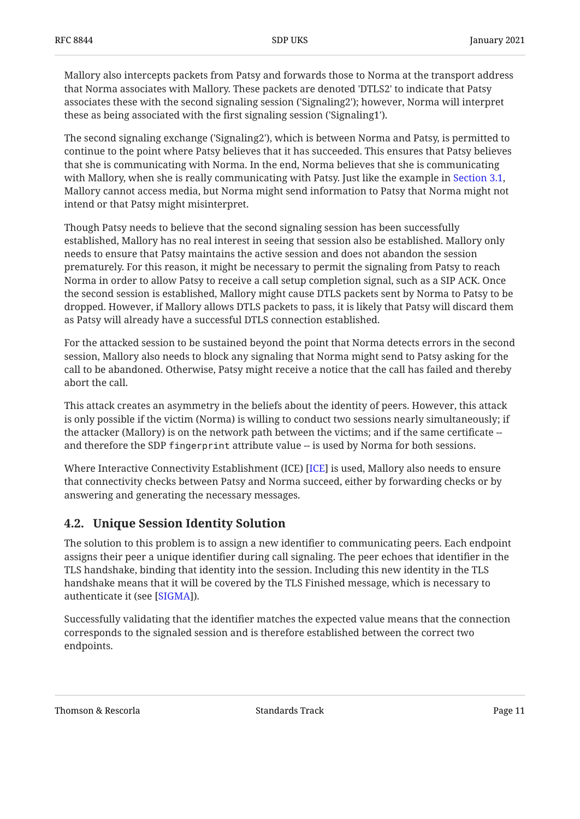Mallory also intercepts packets from Patsy and forwards those to Norma at the transport address that Norma associates with Mallory. These packets are denoted 'DTLS2' to indicate that Patsy associates these with the second signaling session ('Signaling2'); however, Norma will interpret these as being associated with the first signaling session ('Signaling1').

The second signaling exchange ('Signaling2'), which is between Norma and Patsy, is permitted to continue to the point where Patsy believes that it has succeeded. This ensures that Patsy believes that she is communicating with Norma. In the end, Norma believes that she is communicating with Mallory, when she is really communicating with Patsy. Just like the example in [Section 3.1](#page-6-0), Mallory cannot access media, but Norma might send information to Patsy that Norma might not intend or that Patsy might misinterpret.

Though Patsy needs to believe that the second signaling session has been successfully established, Mallory has no real interest in seeing that session also be established. Mallory only needs to ensure that Patsy maintains the active session and does not abandon the session prematurely. For this reason, it might be necessary to permit the signaling from Patsy to reach Norma in order to allow Patsy to receive a call setup completion signal, such as a SIP ACK. Once the second session is established, Mallory might cause DTLS packets sent by Norma to Patsy to be dropped. However, if Mallory allows DTLS packets to pass, it is likely that Patsy will discard them as Patsy will already have a successful DTLS connection established.

For the attacked session to be sustained beyond the point that Norma detects errors in the second session, Mallory also needs to block any signaling that Norma might send to Patsy asking for the call to be abandoned. Otherwise, Patsy might receive a notice that the call has failed and thereby abort the call.

This attack creates an asymmetry in the beliefs about the identity of peers. However, this attack is only possible if the victim (Norma) is willing to conduct two sessions nearly simultaneously; if the attacker (Mallory) is on the network path between the victims; and if the same certificate - and therefore the SDP fingerprint attribute value -- is used by Norma for both sessions.

Where Interactive Connectivity Establishment (ICE) [[ICE\]](#page-15-7) is used, Mallory also needs to ensure that connectivity checks between Patsy and Norma succeed, either by forwarding checks or by answering and generating the necessary messages.

### <span id="page-10-0"></span>**[4.2. Unique Session Identity Solution](#page-10-0)**

The solution to this problem is to assign a new identifier to communicating peers. Each endpoint assigns their peer a unique identifier during call signaling. The peer echoes that identifier in the TLS handshake, binding that identity into the session. Including this new identity in the TLS handshake means that it will be covered by the TLS Finished message, which is necessary to authenticate it (see [SIGMA]).

Successfully validating that the identifier matches the expected value means that the connection corresponds to the signaled session and is therefore established between the correct two endpoints.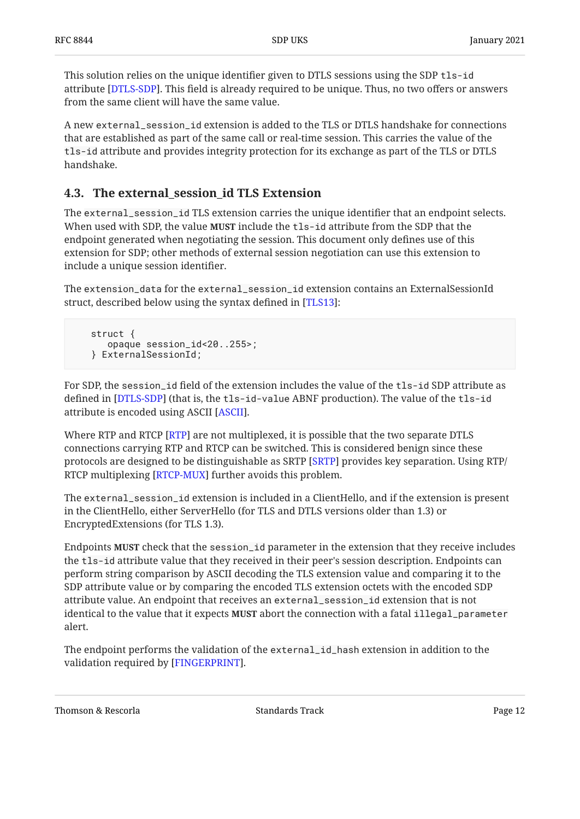This solution relies on the unique identifier given to DTLS sessions using the SDP tls-id attribute [DTLS-SDP]. This field is already required to be unique. Thus, no two offers or answers from the same client will have the same value.

A new external\_session\_id extension is added to the TLS or DTLS handshake for connections that are established as part of the same call or real-time session. This carries the value of the tls-id attribute and provides integrity protection for its exchange as part of the TLS or DTLS handshake.

### <span id="page-11-0"></span>**[4.3. The external\\_session\\_id TLS Extension](#page-11-0)**

The external\_session\_id TLS extension carries the unique identifier that an endpoint selects. When used with SDP, the value **MUST** include the <code>tls-id</code> attribute from the SDP that the endpoint generated when negotiating the session. This document only defines use of this extension for SDP; other methods of external session negotiation can use this extension to include a unique session identifier.

The extension\_data for the external\_session\_id extension contains an ExternalSessionId struct, described below using the syntax defined in [TLS13]:

```
 struct {
   opaque session_id<20..255>;
} ExternalSessionId;
```
For SDP, the session\_id field of the extension includes the value of the tls-id SDP attribute as defined in [DTLS-SDP] (that is, the <code>tls-id-value ABNF</code> production). The value of the <code>tls-id</code> attribute is encoded using ASCII [ASCII].

Where RTP and RTCP [\[RTP\]](#page-15-8) are not multiplexed, it is possible that the two separate DTLS connections carrying RTP and RTCP can be switched. This is considered benign since these protocols are designed to be distinguishable as SRTP [[SRTP\]](#page-14-3) provides key separation. Using RTP/ RTCP multiplexing [RTCP-MUX] further avoids this problem.

The external\_session\_id extension is included in a ClientHello, and if the extension is present in the ClientHello, either ServerHello (for TLS and DTLS versions older than 1.3) or EncryptedExtensions (for TLS 1.3).

Endpoints **MUST** check that the session\_id parameter in the extension that they receive includes the tls-id attribute value that they received in their peer's session description. Endpoints can perform string comparison by ASCII decoding the TLS extension value and comparing it to the SDP attribute value or by comparing the encoded TLS extension octets with the encoded SDP attribute value. An endpoint that receives an external\_session\_id extension that is not identical to the value that it expects **MUST** abort the connection with a fatal <code>illegal\_parameter</code> alert.

The endpoint performs the validation of the external\_id\_hash extension in addition to the validation required by [FINGERPRINT].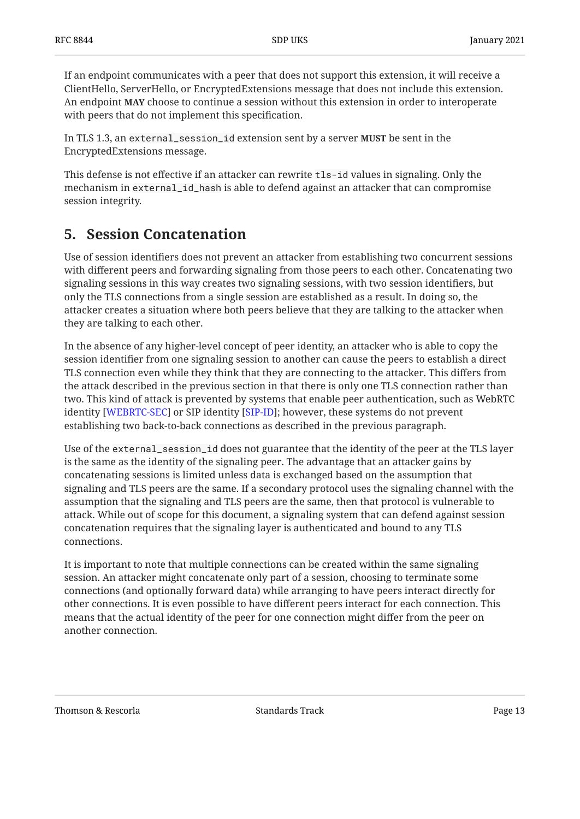If an endpoint communicates with a peer that does not support this extension, it will receive a ClientHello, ServerHello, or EncryptedExtensions message that does not include this extension. An endpoint **MAY** choose to continue a session without this extension in order to interoperate with peers that do not implement this specification.

In TLS 1.3, an external\_session\_id extension sent by a server **MUST** be sent in the EncryptedExtensions message.

This defense is not effective if an attacker can rewrite tls-id values in signaling. Only the mechanism in external\_id\_hash is able to defend against an attacker that can compromise session integrity.

## <span id="page-12-0"></span>**[5. Session Concatenation](#page-12-0)**

Use of session identifiers does not prevent an attacker from establishing two concurrent sessions with different peers and forwarding signaling from those peers to each other. Concatenating two signaling sessions in this way creates two signaling sessions, with two session identifiers, but only the TLS connections from a single session are established as a result. In doing so, the attacker creates a situation where both peers believe that they are talking to the attacker when they are talking to each other.

In the absence of any higher-level concept of peer identity, an attacker who is able to copy the session identifier from one signaling session to another can cause the peers to establish a direct TLS connection even while they think that they are connecting to the attacker. This differs from the attack described in the previous section in that there is only one TLS connection rather than two. This kind of attack is prevented by systems that enable peer authentication, such as WebRTC identity [WEBRTC-SEC] or SIP identity [SIP-ID]; however, these systems do not prevent establishing two back-to-back connections as described in the previous paragraph.

Use of the external\_session\_id does not guarantee that the identity of the peer at the TLS layer is the same as the identity of the signaling peer. The advantage that an attacker gains by concatenating sessions is limited unless data is exchanged based on the assumption that signaling and TLS peers are the same. If a secondary protocol uses the signaling channel with the assumption that the signaling and TLS peers are the same, then that protocol is vulnerable to attack. While out of scope for this document, a signaling system that can defend against session concatenation requires that the signaling layer is authenticated and bound to any TLS connections.

It is important to note that multiple connections can be created within the same signaling session. An attacker might concatenate only part of a session, choosing to terminate some connections (and optionally forward data) while arranging to have peers interact directly for other connections. It is even possible to have different peers interact for each connection. This means that the actual identity of the peer for one connection might differ from the peer on another connection.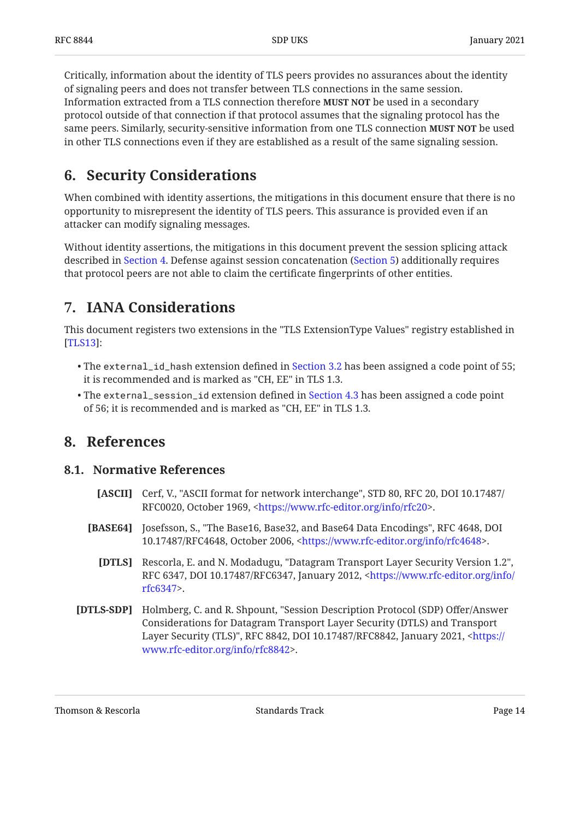Critically, information about the identity of TLS peers provides no assurances about the identity of signaling peers and does not transfer between TLS connections in the same session. Information extracted from a TLS connection therefore **MUST NOT** be used in a secondary protocol outside of that connection if that protocol assumes that the signaling protocol has the same peers. Similarly, security-sensitive information from one TLS connection **MUST NOT** be used in other TLS connections even if they are established as a result of the same signaling session.

## <span id="page-13-0"></span>**[6. Security Considerations](#page-13-0)**

When combined with identity assertions, the mitigations in this document ensure that there is no opportunity to misrepresent the identity of TLS peers. This assurance is provided even if an attacker can modify signaling messages.

Without identity assertions, the mitigations in this document prevent the session splicing attack described in [Section 4](#page-8-1). Defense against session concatenation [\(Section 5](#page-12-0)) additionally requires that protocol peers are not able to claim the certificate fingerprints of other entities.

## <span id="page-13-1"></span>**[7. IANA Considerations](#page-13-1)**

This document registers two extensions in the "TLS ExtensionType Values" registry established in : [[TLS13\]](#page-14-0)

- $\bullet$  The externa $1\_$ id $\_$ hash extension defined in [Section 3.2](#page-6-1) has been assigned a code point of 55; it is recommended and is marked as "CH, EE" in TLS 1.3.
- The external\_session\_id extension defined in [Section 4.3](#page-11-0) has been assigned a code point of 56; it is recommended and is marked as "CH, EE" in TLS 1.3.

### <span id="page-13-3"></span><span id="page-13-2"></span>**[8. References](#page-13-2)**

### <span id="page-13-7"></span>**[8.1. Normative References](#page-13-3)**

- [ASCII] Cerf, V., "ASCII format for network interchange", STD 80, RFC 20, DOI 10.17487/ RFC0020, October 1969, [<https://www.rfc-editor.org/info/rfc20](https://www.rfc-editor.org/info/rfc20)>.
- <span id="page-13-5"></span><span id="page-13-4"></span>**[BASE64]** Josefsson, S., "The Base16, Base32, and Base64 Data Encodings", RFC 4648, DOI 10.17487/RFC4648, October 2006, <<https://www.rfc-editor.org/info/rfc4648>>.
	- **[DTLS]** Rescorla, E. and N. Modadugu, "Datagram Transport Layer Security Version 1.2", RFC 6347, DOI 10.17487/RFC6347, January 2012, <[https://www.rfc-editor.org/info/](https://www.rfc-editor.org/info/rfc6347) . [rfc6347>](https://www.rfc-editor.org/info/rfc6347)
- <span id="page-13-6"></span>**[DTLS-SDP]** Holmberg, C. and R. Shpount, "Session Description Protocol (SDP) Offer/Answer Layer Security (TLS)", RFC 8842, DOI 10.17487/RFC8842, January 2021, [<https://](https://www.rfc-editor.org/info/rfc8842) . [www.rfc-editor.org/info/rfc8842>](https://www.rfc-editor.org/info/rfc8842) Considerations for Datagram Transport Layer Security (DTLS) and Transport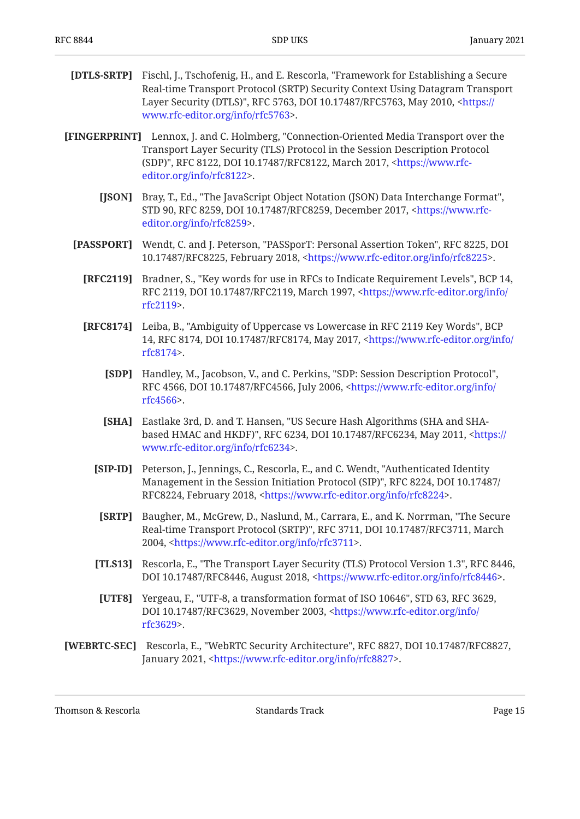- <span id="page-14-4"></span>**[DTLS-SRTP]** Fischl, J., Tschofenig, H., and E. Rescorla, "Framework for Establishing a Secure Layer Security (DTLS)", RFC 5763, DOI 10.17487/RFC5763, May 2010, <[https://](https://www.rfc-editor.org/info/rfc5763) . [www.rfc-editor.org/info/rfc5763>](https://www.rfc-editor.org/info/rfc5763) Real-time Transport Protocol (SRTP) Security Context Using Datagram Transport
- <span id="page-14-10"></span><span id="page-14-9"></span><span id="page-14-8"></span><span id="page-14-7"></span><span id="page-14-2"></span><span id="page-14-1"></span>**[FINGERPRINT]** Lennox, J. and C. Holmberg, "Connection-Oriented Media Transport over the (SDP)", RFC 8122, DOI 10.17487/RFC8122, March 2017, <[https://www.rfc-](https://www.rfc-editor.org/info/rfc8122). [editor.org/info/rfc8122>](https://www.rfc-editor.org/info/rfc8122) Transport Layer Security (TLS) Protocol in the Session Description Protocol
	- **[JSON]** Bray, T., Ed., "The JavaScript Object Notation (JSON) Data Interchange Format", STD 90, RFC 8259, DOI 10.17487/RFC8259, December 2017, <[https://www.rfc-](https://www.rfc-editor.org/info/rfc8259). [editor.org/info/rfc8259>](https://www.rfc-editor.org/info/rfc8259)
	- **[PASSPORT]** Wendt, C. and J. Peterson, "PASSporT: Personal Assertion Token", RFC 8225, DOI 10.17487/RFC8225, February 2018, <https://www.rfc-editor.org/info/rfc8225>.
		- **[RFC2119]** Bradner, S., "Key words for use in RFCs to Indicate Requirement Levels", BCP 14, RFC 2119, DOI 10.17487/RFC2119, March 1997, <[https://www.rfc-editor.org/info/](https://www.rfc-editor.org/info/rfc2119) . [rfc2119>](https://www.rfc-editor.org/info/rfc2119)
		- **[RFC8174]** Leiba, B., "Ambiguity of Uppercase vs Lowercase in RFC 2119 Key Words", BCP 14, RFC 8174, DOI 10.17487/RFC8174, May 2017, [<https://www.rfc-editor.org/info/](https://www.rfc-editor.org/info/rfc8174) . [rfc8174>](https://www.rfc-editor.org/info/rfc8174)
			- **[SDP]** Handley, M., Jacobson, V., and C. Perkins, "SDP: Session Description Protocol", RFC 4566, DOI 10.17487/RFC4566, July 2006, [<https://www.rfc-editor.org/info/](https://www.rfc-editor.org/info/rfc4566) . [rfc4566>](https://www.rfc-editor.org/info/rfc4566)
			- **[SHA]** Eastlake 3rd, D. and T. Hansen, "US Secure Hash Algorithms (SHA and SHA-based HMAC and HKDF)", RFC 6234, DOI 10.17487/RFC6234, May 2011, [<https://](https://www.rfc-editor.org/info/rfc6234) . [www.rfc-editor.org/info/rfc6234>](https://www.rfc-editor.org/info/rfc6234)
			- **[SIP-ID]** Peterson, J., Jennings, C., Rescorla, E., and C. Wendt, "Authenticated Identity Management in the Session Initiation Protocol (SIP)", RFC 8224, DOI 10.17487/ RFC8224, February 2018, <https://www.rfc-editor.org/info/rfc8224>.
			- **[SRTP]** Baugher, M., McGrew, D., Naslund, M., Carrara, E., and K. Norrman, "The Secure Real-time Transport Protocol (SRTP)", RFC 3711, DOI 10.17487/RFC3711, March 2004, <https://www.rfc-editor.org/info/rfc3711>.
			- **[TLS13]** Rescorla, E., "The Transport Layer Security (TLS) Protocol Version 1.3", RFC 8446, DOI 10.17487/RFC8446, August 2018, <https://www.rfc-editor.org/info/rfc8446>.
			- **[UTF8]** Yergeau, F., "UTF-8, a transformation format of ISO 10646", STD 63, RFC 3629, DOI 10.17487/RFC3629, November 2003, [<https://www.rfc-editor.org/info/](https://www.rfc-editor.org/info/rfc3629) . [rfc3629>](https://www.rfc-editor.org/info/rfc3629)
- <span id="page-14-12"></span><span id="page-14-11"></span><span id="page-14-6"></span><span id="page-14-5"></span><span id="page-14-3"></span><span id="page-14-0"></span>**[WEBRTC-SEC]** Rescorla, E., "WebRTC Security Architecture", RFC 8827, DOI 10.17487/RFC8827, January 2021, <[https://www.rfc-editor.org/info/rfc8827>](https://www.rfc-editor.org/info/rfc8827).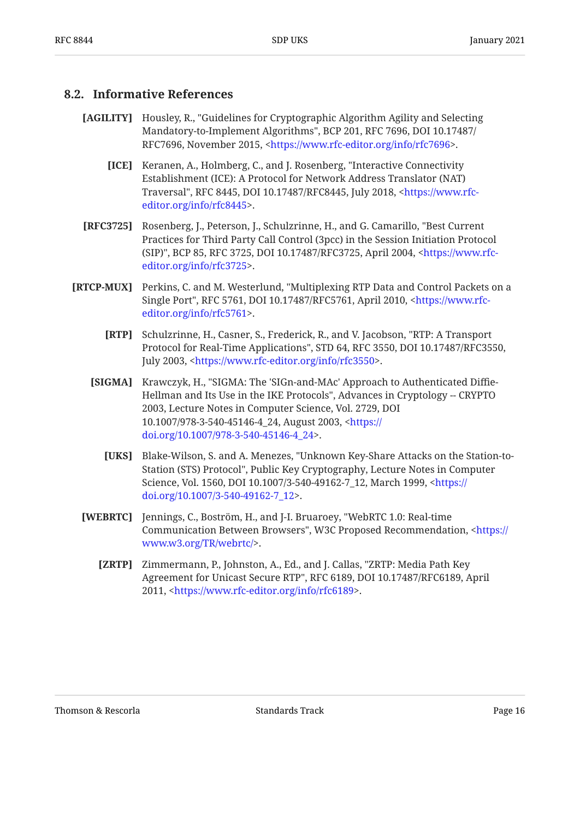#### <span id="page-15-0"></span>**[8.2. Informative References](#page-15-0)**

- <span id="page-15-7"></span><span id="page-15-6"></span>**[AGILITY]** Housley, R., "Guidelines for Cryptographic Algorithm Agility and Selecting Mandatory-to-Implement Algorithms", BCP 201, RFC 7696, DOI 10.17487/ RFC7696, November 2015, <<https://www.rfc-editor.org/info/rfc7696>>.
	- **[ICE]** Keranen, A., Holmberg, C., and J. Rosenberg, "Interactive Connectivity Traversal", RFC 8445, DOI 10.17487/RFC8445, July 2018, <[https://www.rfc-](https://www.rfc-editor.org/info/rfc8445). [editor.org/info/rfc8445>](https://www.rfc-editor.org/info/rfc8445) Establishment (ICE): A Protocol for Network Address Translator (NAT)
- <span id="page-15-2"></span>**[RFC3725]** Rosenberg, J., Peterson, J., Schulzrinne, H., and G. Camarillo, "Best Current (SIP)", BCP 85, RFC 3725, DOI 10.17487/RFC3725, April 2004, <[https://www.rfc-](https://www.rfc-editor.org/info/rfc3725). [editor.org/info/rfc3725>](https://www.rfc-editor.org/info/rfc3725) Practices for Third Party Call Control (3pcc) in the Session Initiation Protocol
- <span id="page-15-9"></span><span id="page-15-8"></span><span id="page-15-5"></span><span id="page-15-4"></span><span id="page-15-3"></span><span id="page-15-1"></span>**[RTCP-MUX]** Perkins, C. and M. Westerlund, "Multiplexing RTP Data and Control Packets on a Single Port", RFC 5761, DOI 10.17487/RFC5761, April 2010, <[https://www.rfc-](https://www.rfc-editor.org/info/rfc5761). [editor.org/info/rfc5761>](https://www.rfc-editor.org/info/rfc5761)
	- **[RTP]** Schulzrinne, H., Casner, S., Frederick, R., and V. Jacobson, "RTP: A Transport Protocol for Real-Time Applications", STD 64, RFC 3550, DOI 10.17487/RFC3550, July 2003, <https://www.rfc-editor.org/info/rfc3550>.
	- **[SIGMA]** Krawczyk, H., "SIGMA: The 'SIGn-and-MAc' Approach to Authenticated Diffie-Hellman and Its Use in the IKE Protocols", Advances in Cryptology -- CRYPTO 2003, Lecture Notes in Computer Science, Vol. 2729, DOI 10.1007/978-3-540-45146-4\_24, August 2003, [<https://](https://doi.org/10.1007/978-3-540-45146-4_24) . [doi.org/10.1007/978-3-540-45146-4\\_24](https://doi.org/10.1007/978-3-540-45146-4_24)>
		- **[UKS]** , Blake-Wilson, S. and A. Menezes "Unknown Key-Share Attacks on the Station-to-Station (STS) Protocol", Public Key Cryptography, Lecture Notes in Computer Science, Vol. 1560, DOI 10.1007/3-540-49162-7\_12, March 1999, <[https://](https://doi.org/10.1007/3-540-49162-7_12) . [doi.org/10.1007/3-540-49162-7\\_12](https://doi.org/10.1007/3-540-49162-7_12)>
	- **[WEBRTC]** Jennings, C., Boström, H., and J-I. Bruaroey, "WebRTC 1.0: Real-time Communication Between Browsers", W3C Proposed Recommendation, [<https://](https://www.w3.org/TR/webrtc/) . [www.w3.org/TR/webrtc/](https://www.w3.org/TR/webrtc/)>
		- **[ZRTP]** Zimmermann, P., Johnston, A., Ed., and J. Callas, "ZRTP: Media Path Key Agreement for Unicast Secure RTP", RFC 6189, DOI 10.17487/RFC6189, April 2011, <https://www.rfc-editor.org/info/rfc6189>.